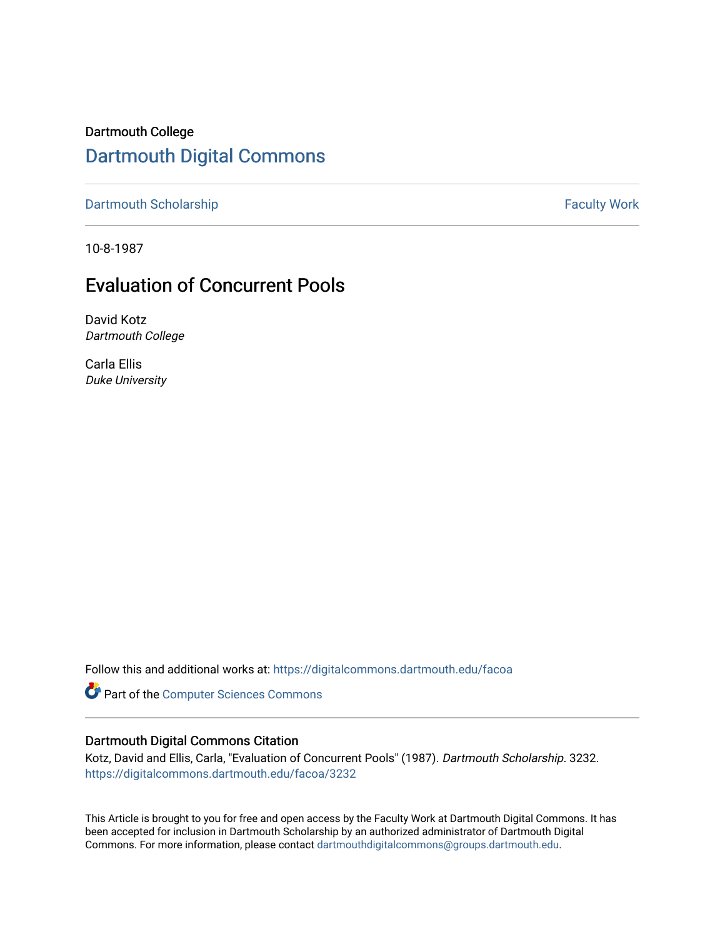Dartmouth College [Dartmouth Digital Commons](https://digitalcommons.dartmouth.edu/) 

[Dartmouth Scholarship](https://digitalcommons.dartmouth.edu/facoa) **Faculty Work Dartmouth Scholarship Faculty Work** 

10-8-1987

# Evaluation of Concurrent Pools

David Kotz Dartmouth College

Carla Ellis Duke University

Follow this and additional works at: [https://digitalcommons.dartmouth.edu/facoa](https://digitalcommons.dartmouth.edu/facoa?utm_source=digitalcommons.dartmouth.edu%2Ffacoa%2F3232&utm_medium=PDF&utm_campaign=PDFCoverPages)

Part of the [Computer Sciences Commons](http://network.bepress.com/hgg/discipline/142?utm_source=digitalcommons.dartmouth.edu%2Ffacoa%2F3232&utm_medium=PDF&utm_campaign=PDFCoverPages)

### Dartmouth Digital Commons Citation

Kotz, David and Ellis, Carla, "Evaluation of Concurrent Pools" (1987). Dartmouth Scholarship. 3232. [https://digitalcommons.dartmouth.edu/facoa/3232](https://digitalcommons.dartmouth.edu/facoa/3232?utm_source=digitalcommons.dartmouth.edu%2Ffacoa%2F3232&utm_medium=PDF&utm_campaign=PDFCoverPages) 

This Article is brought to you for free and open access by the Faculty Work at Dartmouth Digital Commons. It has been accepted for inclusion in Dartmouth Scholarship by an authorized administrator of Dartmouth Digital Commons. For more information, please contact [dartmouthdigitalcommons@groups.dartmouth.edu](mailto:dartmouthdigitalcommons@groups.dartmouth.edu).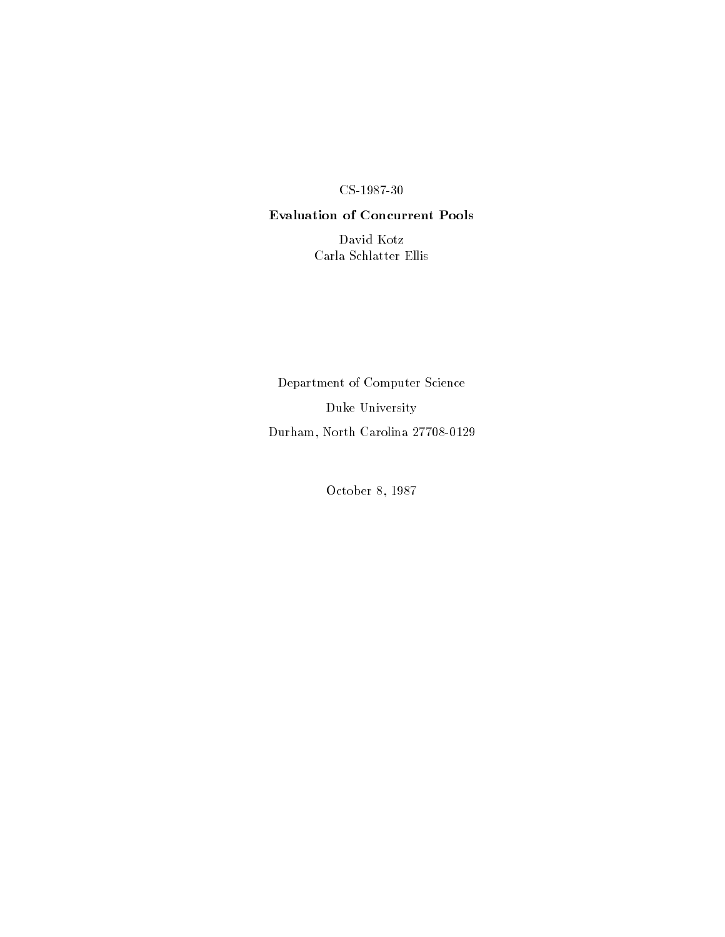#### ------

### Evaluation of Concurrent Pools

David KotzCarla Schlatter Ellis

Department of Computer ScienceDuke University $D$  urham, rorth Carolina 21100-0120

October 8, 1987